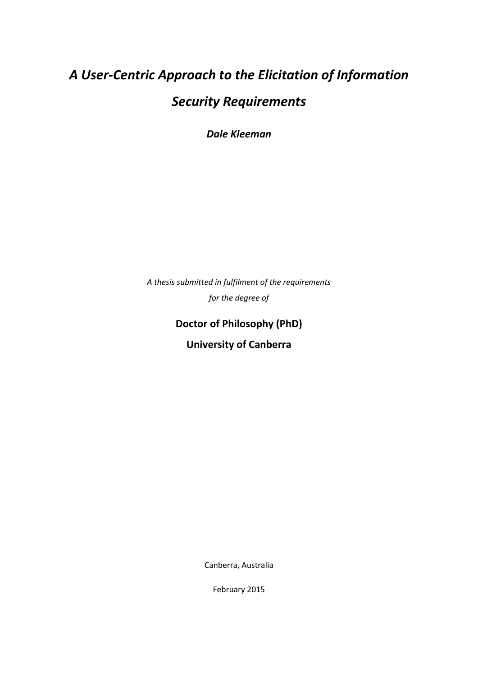# *A User-Centric Approach to the Elicitation of Information Security Requirements*

*Dale Kleeman*

*A thesis submitted in fulfilment of the requirements for the degree of*

## **Doctor of Philosophy (PhD)**

**University of Canberra**

Canberra, Australia

February 2015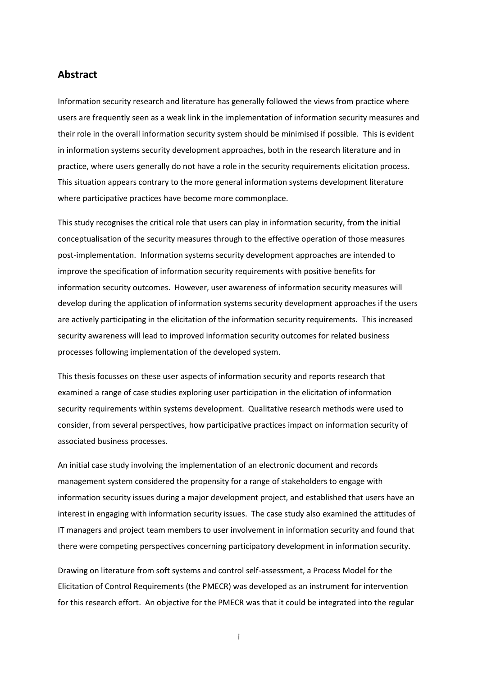#### **Abstract**

Information security research and literature has generally followed the views from practice where users are frequently seen as a weak link in the implementation of information security measures and their role in the overall information security system should be minimised if possible. This is evident in information systems security development approaches, both in the research literature and in practice, where users generally do not have a role in the security requirements elicitation process. This situation appears contrary to the more general information systems development literature where participative practices have become more commonplace.

This study recognises the critical role that users can play in information security, from the initial conceptualisation of the security measures through to the effective operation of those measures post-implementation. Information systems security development approaches are intended to improve the specification of information security requirements with positive benefits for information security outcomes. However, user awareness of information security measures will develop during the application of information systems security development approaches if the users are actively participating in the elicitation of the information security requirements. This increased security awareness will lead to improved information security outcomes for related business processes following implementation of the developed system.

This thesis focusses on these user aspects of information security and reports research that examined a range of case studies exploring user participation in the elicitation of information security requirements within systems development. Qualitative research methods were used to consider, from several perspectives, how participative practices impact on information security of associated business processes.

An initial case study involving the implementation of an electronic document and records management system considered the propensity for a range of stakeholders to engage with information security issues during a major development project, and established that users have an interest in engaging with information security issues. The case study also examined the attitudes of IT managers and project team members to user involvement in information security and found that there were competing perspectives concerning participatory development in information security.

Drawing on literature from soft systems and control self-assessment, a Process Model for the Elicitation of Control Requirements (the PMECR) was developed as an instrument for intervention for this research effort. An objective for the PMECR was that it could be integrated into the regular

i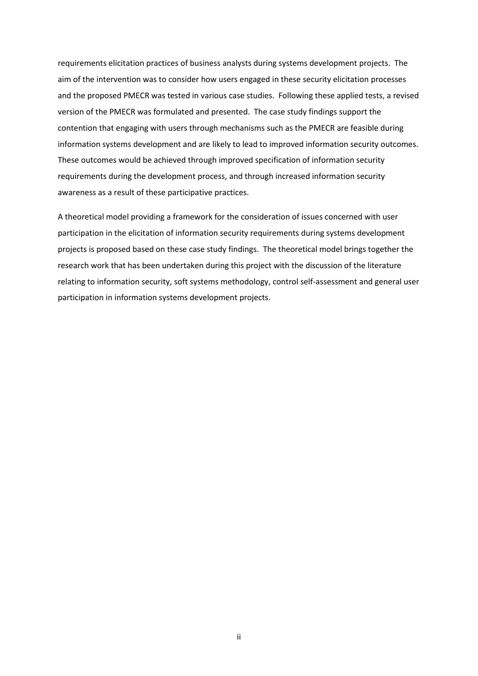requirements elicitation practices of business analysts during systems development projects. The aim of the intervention was to consider how users engaged in these security elicitation processes and the proposed PMECR was tested in various case studies. Following these applied tests, a revised version of the PMECR was formulated and presented. The case study findings support the contention that engaging with users through mechanisms such as the PMECR are feasible during information systems development and are likely to lead to improved information security outcomes. These outcomes would be achieved through improved specification of information security requirements during the development process, and through increased information security awareness as a result of these participative practices.

A theoretical model providing a framework for the consideration of issues concerned with user participation in the elicitation of information security requirements during systems development projects is proposed based on these case study findings. The theoretical model brings together the research work that has been undertaken during this project with the discussion of the literature relating to information security, soft systems methodology, control self-assessment and general user participation in information systems development projects.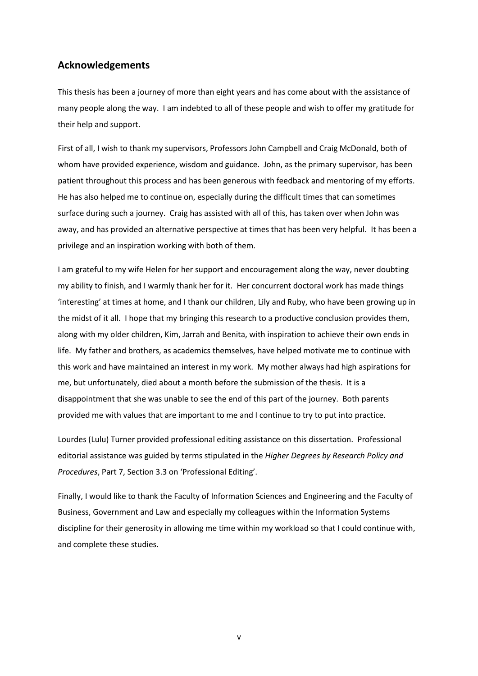#### **Acknowledgements**

This thesis has been a journey of more than eight years and has come about with the assistance of many people along the way. I am indebted to all of these people and wish to offer my gratitude for their help and support.

First of all, I wish to thank my supervisors, Professors John Campbell and Craig McDonald, both of whom have provided experience, wisdom and guidance. John, as the primary supervisor, has been patient throughout this process and has been generous with feedback and mentoring of my efforts. He has also helped me to continue on, especially during the difficult times that can sometimes surface during such a journey. Craig has assisted with all of this, has taken over when John was away, and has provided an alternative perspective at times that has been very helpful. It has been a privilege and an inspiration working with both of them.

I am grateful to my wife Helen for her support and encouragement along the way, never doubting my ability to finish, and I warmly thank her for it. Her concurrent doctoral work has made things 'interesting' at times at home, and I thank our children, Lily and Ruby, who have been growing up in the midst of it all. I hope that my bringing this research to a productive conclusion provides them, along with my older children, Kim, Jarrah and Benita, with inspiration to achieve their own ends in life. My father and brothers, as academics themselves, have helped motivate me to continue with this work and have maintained an interest in my work. My mother always had high aspirations for me, but unfortunately, died about a month before the submission of the thesis. It is a disappointment that she was unable to see the end of this part of the journey. Both parents provided me with values that are important to me and I continue to try to put into practice.

Lourdes (Lulu) Turner provided professional editing assistance on this dissertation. Professional editorial assistance was guided by terms stipulated in the *Higher Degrees by Research Policy and Procedures*, Part 7, Section 3.3 on 'Professional Editing'.

Finally, I would like to thank the Faculty of Information Sciences and Engineering and the Faculty of Business, Government and Law and especially my colleagues within the Information Systems discipline for their generosity in allowing me time within my workload so that I could continue with, and complete these studies.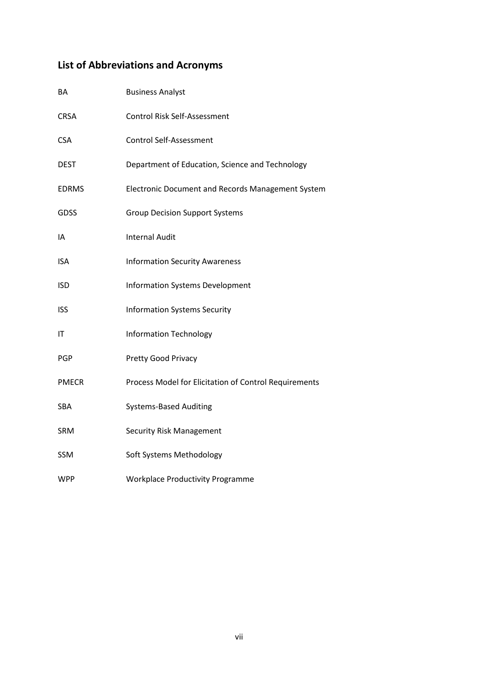# **List of Abbreviations and Acronyms**

| BA           | <b>Business Analyst</b>                               |
|--------------|-------------------------------------------------------|
| <b>CRSA</b>  | Control Risk Self-Assessment                          |
| <b>CSA</b>   | <b>Control Self-Assessment</b>                        |
| <b>DEST</b>  | Department of Education, Science and Technology       |
| <b>EDRMS</b> | Electronic Document and Records Management System     |
| <b>GDSS</b>  | <b>Group Decision Support Systems</b>                 |
| IA           | <b>Internal Audit</b>                                 |
| ISA          | <b>Information Security Awareness</b>                 |
| ISD          | <b>Information Systems Development</b>                |
| <b>ISS</b>   | <b>Information Systems Security</b>                   |
| ΙT           | <b>Information Technology</b>                         |
| PGP          | Pretty Good Privacy                                   |
| <b>PMECR</b> | Process Model for Elicitation of Control Requirements |
| SBA          | <b>Systems-Based Auditing</b>                         |
| <b>SRM</b>   | <b>Security Risk Management</b>                       |
| <b>SSM</b>   | Soft Systems Methodology                              |
| WPP          | <b>Workplace Productivity Programme</b>               |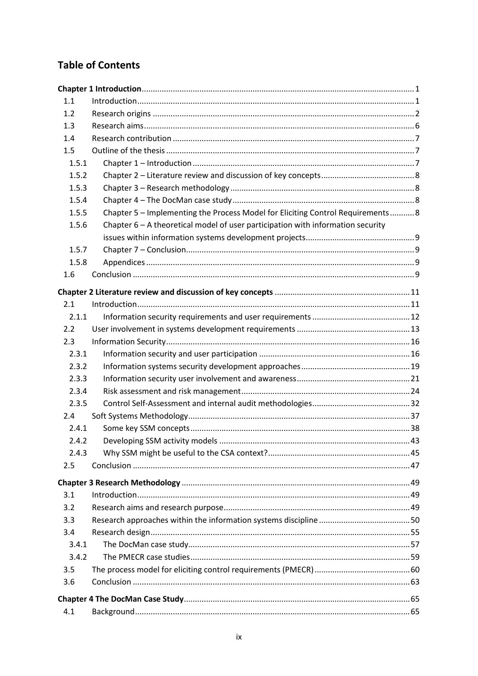### **Table of Contents**

| 1.1   |                                                                                   |  |  |  |  |
|-------|-----------------------------------------------------------------------------------|--|--|--|--|
| 1.2   |                                                                                   |  |  |  |  |
| 1.3   |                                                                                   |  |  |  |  |
| 1.4   |                                                                                   |  |  |  |  |
| 1.5   |                                                                                   |  |  |  |  |
| 1.5.1 |                                                                                   |  |  |  |  |
| 1.5.2 |                                                                                   |  |  |  |  |
| 1.5.3 |                                                                                   |  |  |  |  |
| 1.5.4 |                                                                                   |  |  |  |  |
| 1.5.5 | Chapter 5 - Implementing the Process Model for Eliciting Control Requirements 8   |  |  |  |  |
| 1.5.6 | Chapter $6 - A$ theoretical model of user participation with information security |  |  |  |  |
|       |                                                                                   |  |  |  |  |
| 1.5.7 |                                                                                   |  |  |  |  |
| 1.5.8 |                                                                                   |  |  |  |  |
| 1.6   |                                                                                   |  |  |  |  |
|       |                                                                                   |  |  |  |  |
| 2.1   |                                                                                   |  |  |  |  |
| 2.1.1 |                                                                                   |  |  |  |  |
| 2.2   |                                                                                   |  |  |  |  |
| 2.3   |                                                                                   |  |  |  |  |
| 2.3.1 |                                                                                   |  |  |  |  |
| 2.3.2 |                                                                                   |  |  |  |  |
| 2.3.3 |                                                                                   |  |  |  |  |
| 2.3.4 |                                                                                   |  |  |  |  |
| 2.3.5 |                                                                                   |  |  |  |  |
| 2.4   |                                                                                   |  |  |  |  |
| 2.4.1 |                                                                                   |  |  |  |  |
| 2.4.2 |                                                                                   |  |  |  |  |
| 2.4.3 |                                                                                   |  |  |  |  |
| 2.5   |                                                                                   |  |  |  |  |
|       |                                                                                   |  |  |  |  |
| 3.1   |                                                                                   |  |  |  |  |
| 3.2   |                                                                                   |  |  |  |  |
| 3.3   |                                                                                   |  |  |  |  |
| 3.4   |                                                                                   |  |  |  |  |
| 3.4.1 |                                                                                   |  |  |  |  |
| 3.4.2 |                                                                                   |  |  |  |  |
| 3.5   |                                                                                   |  |  |  |  |
| 3.6   |                                                                                   |  |  |  |  |
|       |                                                                                   |  |  |  |  |
|       |                                                                                   |  |  |  |  |
| 4.1   |                                                                                   |  |  |  |  |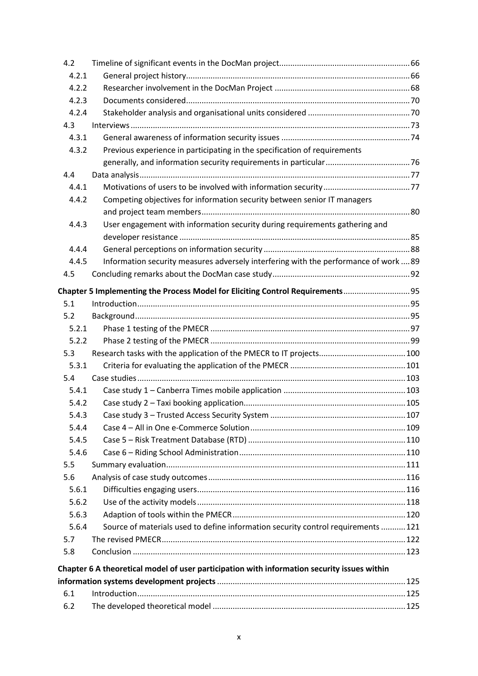| 4.2   |                                                                                             |  |
|-------|---------------------------------------------------------------------------------------------|--|
| 4.2.1 |                                                                                             |  |
| 4.2.2 |                                                                                             |  |
| 4.2.3 |                                                                                             |  |
| 4.2.4 |                                                                                             |  |
| 4.3   |                                                                                             |  |
| 4.3.1 |                                                                                             |  |
| 4.3.2 | Previous experience in participating in the specification of requirements                   |  |
|       |                                                                                             |  |
| 4.4   |                                                                                             |  |
| 4.4.1 |                                                                                             |  |
| 4.4.2 | Competing objectives for information security between senior IT managers                    |  |
|       |                                                                                             |  |
| 4.4.3 | User engagement with information security during requirements gathering and                 |  |
|       |                                                                                             |  |
| 4.4.4 |                                                                                             |  |
| 4.4.5 | Information security measures adversely interfering with the performance of work  89        |  |
| 4.5   |                                                                                             |  |
|       | Chapter 5 Implementing the Process Model for Eliciting Control Requirements 95              |  |
| 5.1   |                                                                                             |  |
| 5.2   |                                                                                             |  |
| 5.2.1 |                                                                                             |  |
| 5.2.2 |                                                                                             |  |
| 5.3   |                                                                                             |  |
| 5.3.1 |                                                                                             |  |
| 5.4   |                                                                                             |  |
| 5.4.1 |                                                                                             |  |
| 5.4.2 |                                                                                             |  |
| 5.4.3 |                                                                                             |  |
| 5.4.4 |                                                                                             |  |
| 5.4.5 |                                                                                             |  |
| 5.4.6 |                                                                                             |  |
| 5.5   |                                                                                             |  |
| 5.6   |                                                                                             |  |
| 5.6.1 |                                                                                             |  |
| 5.6.2 |                                                                                             |  |
| 5.6.3 |                                                                                             |  |
| 5.6.4 | Source of materials used to define information security control requirements  121           |  |
| 5.7   |                                                                                             |  |
| 5.8   |                                                                                             |  |
|       | Chapter 6 A theoretical model of user participation with information security issues within |  |
|       |                                                                                             |  |
| 6.1   |                                                                                             |  |
| 6.2   |                                                                                             |  |
|       |                                                                                             |  |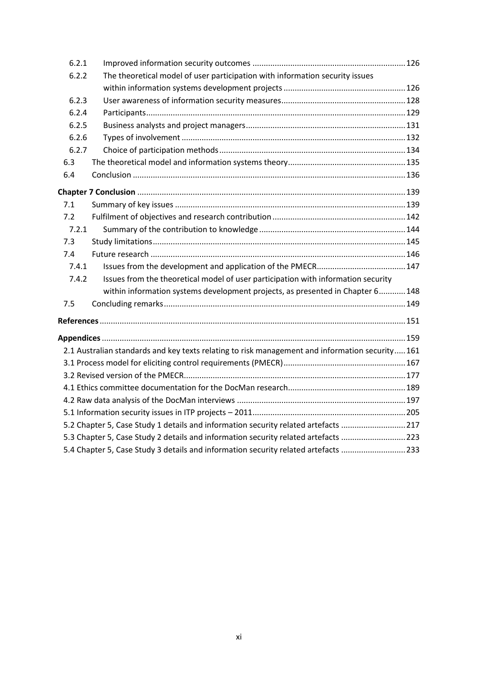| 6.2.1 |                                                                                                 |  |
|-------|-------------------------------------------------------------------------------------------------|--|
| 6.2.2 | The theoretical model of user participation with information security issues                    |  |
|       |                                                                                                 |  |
| 6.2.3 |                                                                                                 |  |
| 6.2.4 |                                                                                                 |  |
| 6.2.5 |                                                                                                 |  |
| 6.2.6 |                                                                                                 |  |
| 6.2.7 |                                                                                                 |  |
| 6.3   |                                                                                                 |  |
| 6.4   |                                                                                                 |  |
|       |                                                                                                 |  |
| 7.1   |                                                                                                 |  |
| 7.2   |                                                                                                 |  |
| 7.2.1 |                                                                                                 |  |
| 7.3   |                                                                                                 |  |
| 7.4   |                                                                                                 |  |
| 7.4.1 |                                                                                                 |  |
| 7.4.2 | Issues from the theoretical model of user participation with information security               |  |
|       | within information systems development projects, as presented in Chapter 6148                   |  |
| 7.5   |                                                                                                 |  |
|       |                                                                                                 |  |
|       |                                                                                                 |  |
|       | 2.1 Australian standards and key texts relating to risk management and information security 161 |  |
|       |                                                                                                 |  |
|       |                                                                                                 |  |
|       |                                                                                                 |  |
|       |                                                                                                 |  |
|       |                                                                                                 |  |
|       | 5.2 Chapter 5, Case Study 1 details and information security related artefacts 217              |  |
|       | 5.3 Chapter 5, Case Study 2 details and information security related artefacts 223              |  |
|       | 5.4 Chapter 5, Case Study 3 details and information security related artefacts 233              |  |